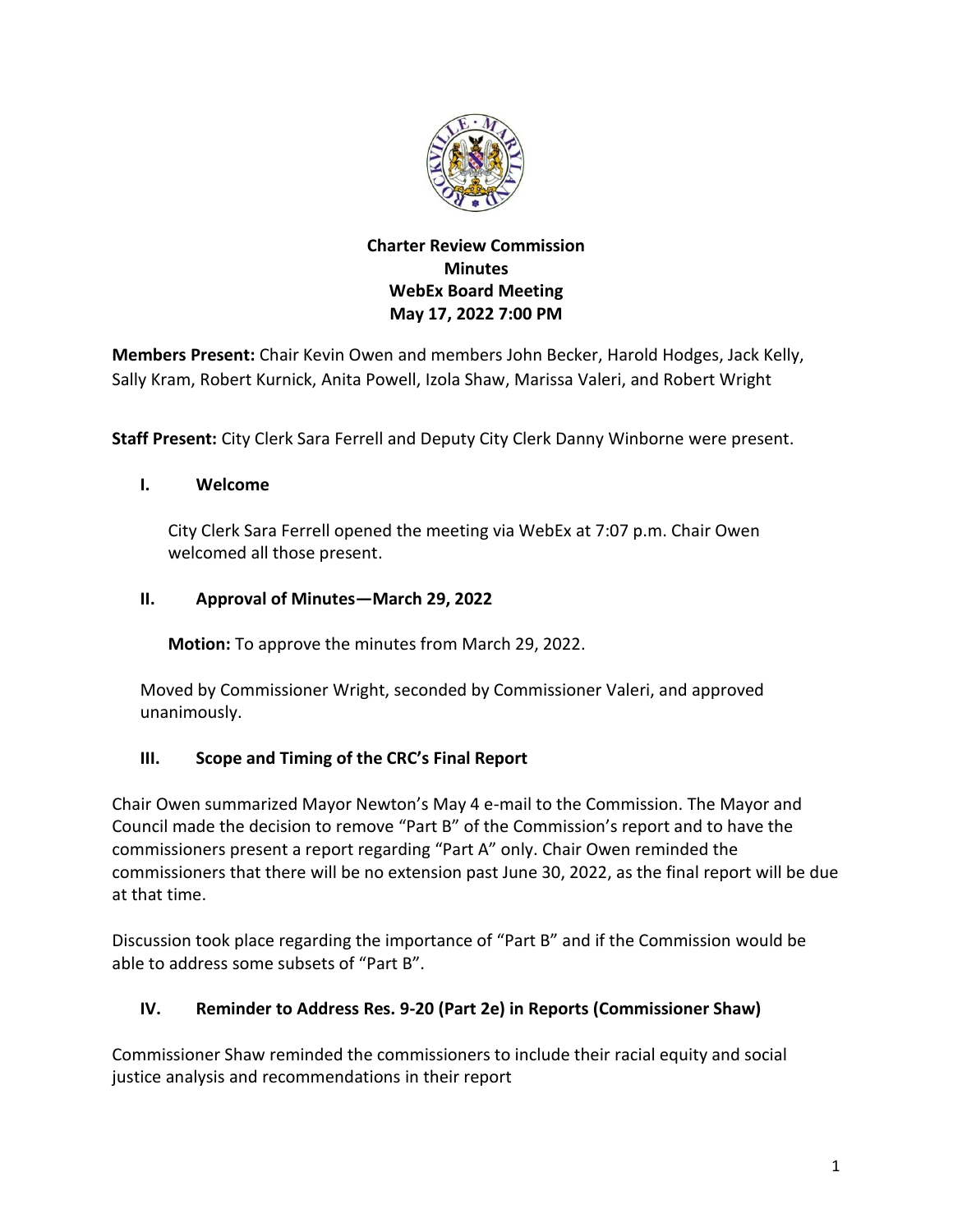

### **Charter Review Commission Minutes WebEx Board Meeting May 17, 2022 7:00 PM**

**Members Present:** Chair Kevin Owen and members John Becker, Harold Hodges, Jack Kelly, Sally Kram, Robert Kurnick, Anita Powell, Izola Shaw, Marissa Valeri, and Robert Wright

**Staff Present:** City Clerk Sara Ferrell and Deputy City Clerk Danny Winborne were present.

#### **I. Welcome**

City Clerk Sara Ferrell opened the meeting via WebEx at 7:07 p.m. Chair Owen welcomed all those present.

#### **II. Approval of Minutes—March 29, 2022**

**Motion:** To approve the minutes from March 29, 2022.

Moved by Commissioner Wright, seconded by Commissioner Valeri, and approved unanimously.

#### **III. Scope and Timing of the CRC's Final Report**

Chair Owen summarized Mayor Newton's May 4 e-mail to the Commission. The Mayor and Council made the decision to remove "Part B" of the Commission's report and to have the commissioners present a report regarding "Part A" only. Chair Owen reminded the commissioners that there will be no extension past June 30, 2022, as the final report will be due at that time.

Discussion took place regarding the importance of "Part B" and if the Commission would be able to address some subsets of "Part B".

#### **IV. Reminder to Address Res. 9-20 (Part 2e) in Reports (Commissioner Shaw)**

Commissioner Shaw reminded the commissioners to include their racial equity and social justice analysis and recommendations in their report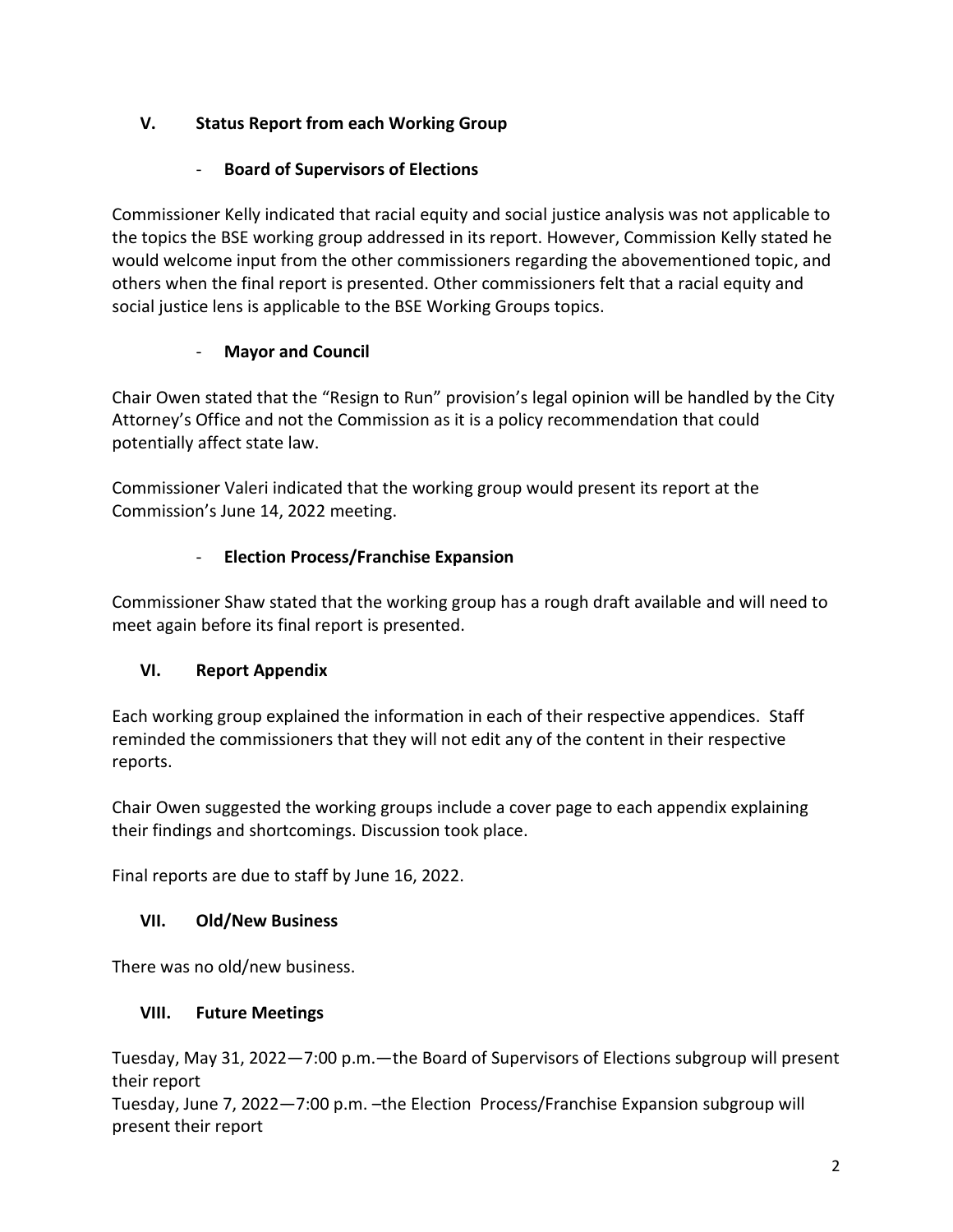## **V. Status Report from each Working Group**

### - **Board of Supervisors of Elections**

Commissioner Kelly indicated that racial equity and social justice analysis was not applicable to the topics the BSE working group addressed in its report. However, Commission Kelly stated he would welcome input from the other commissioners regarding the abovementioned topic, and others when the final report is presented. Other commissioners felt that a racial equity and social justice lens is applicable to the BSE Working Groups topics.

## - **Mayor and Council**

Chair Owen stated that the "Resign to Run" provision's legal opinion will be handled by the City Attorney's Office and not the Commission as it is a policy recommendation that could potentially affect state law.

Commissioner Valeri indicated that the working group would present its report at the Commission's June 14, 2022 meeting.

## - **Election Process/Franchise Expansion**

Commissioner Shaw stated that the working group has a rough draft available and will need to meet again before its final report is presented.

# **VI. Report Appendix**

Each working group explained the information in each of their respective appendices. Staff reminded the commissioners that they will not edit any of the content in their respective reports.

Chair Owen suggested the working groups include a cover page to each appendix explaining their findings and shortcomings. Discussion took place.

Final reports are due to staff by June 16, 2022.

### **VII. Old/New Business**

There was no old/new business.

### **VIII. Future Meetings**

Tuesday, May 31, 2022—7:00 p.m.—the Board of Supervisors of Elections subgroup will present their report

Tuesday, June 7, 2022—7:00 p.m. –the Election Process/Franchise Expansion subgroup will present their report